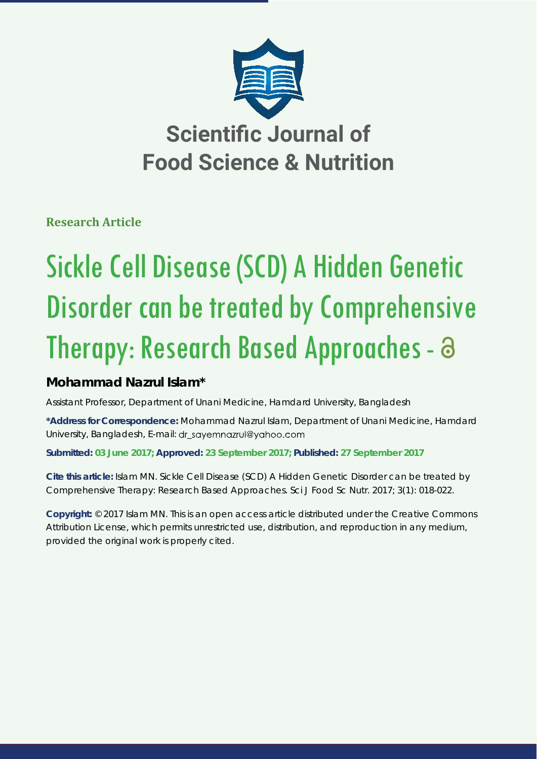

**Research Article**

# Sickle Cell Disease (SCD) A Hidden Genetic Disorder can be treated by Comprehensive Therapy: Research Based Approaches - a

## **Mohammad Nazrul Islam\***

Assistant Professor, Department of Unani Medicine, Hamdard University, Bangladesh

**\*Address for Correspondence:** Mohammad Nazrul Islam, Department of Unani Medicine, Hamdard University, Bangladesh, E-mail: dr\_sayemnazrul@yahoo.com

**Submitted: 03 June 2017; Approved: 23 September 2017; Published: 27 September 2017**

**Cite this article:** Islam MN. Sickle Cell Disease (SCD) A Hidden Genetic Disorder can be treated by Comprehensive Therapy: Research Based Approaches. Sci J Food Sc Nutr. 2017; 3(1): 018-022.

**Copyright:** © 2017 Islam MN. This is an open access article distributed under the Creative Commons Attribution License, which permits unrestricted use, distribution, and reproduction in any medium, provided the original work is properly cited.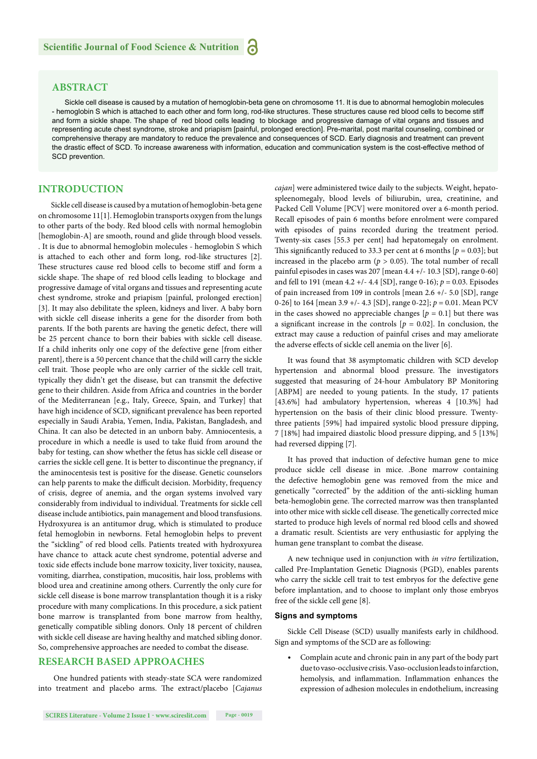### **ABSTRACT**

Sickle cell disease is caused by a mutation of hemoglobin-beta gene on chromosome 11. It is due to abnormal hemoglobin molecules - hemoglobin S which is attached to each other and form long, rod-like structures. These structures cause red blood cells to become stiff and form a sickle shape. The shape of red blood cells leading to blockage and progressive damage of vital organs and tissues and representing acute chest syndrome, stroke and priapism [painful, prolonged erection]. Pre-marital, post marital counseling, combined or comprehensive therapy are mandatory to reduce the prevalence and consequences of SCD. Early diagnosis and treatment can prevent the drastic effect of SCD. To increase awareness with information, education and communication system is the cost-effective method of SCD prevention.

#### **INTRODUCTION**

Sickle cell disease is caused by a mutation of hemoglobin-beta gene on chromosome 11[1]. Hemoglobin transports oxygen from the lungs to other parts of the body. Red blood cells with normal hemoglobin [hemoglobin-A] are smooth, round and glide through blood vessels. . It is due to abnormal hemoglobin molecules - hemoglobin S which is attached to each other and form long, rod-like structures [2]. These structures cause red blood cells to become stiff and form a sickle shape. The shape of red blood cells leading to blockage and progressive damage of vital organs and tissues and representing acute chest syndrome, stroke and priapism [painful, prolonged erection] [3]. It may also debilitate the spleen, kidneys and liver. A baby born with sickle cell disease inherits a gene for the disorder from both parents. If the both parents are having the genetic defect, there will be 25 percent chance to born their babies with sickle cell disease. If a child inherits only one copy of the defective gene [from either parent], there is a 50 percent chance that the child will carry the sickle cell trait. Those people who are only carrier of the sickle cell trait, typically they didn't get the disease, but can transmit the defective gene to their children. Aside from Africa and countries in the border of the Mediterranean [e.g., Italy, Greece, Spain, and Turkey] that have high incidence of SCD, significant prevalence has been reported especially in Saudi Arabia, Yemen, India, Pakistan, Bangladesh, and China. It can also be detected in an unborn baby. Amniocentesis, a procedure in which a needle is used to take fluid from around the baby for testing, can show whether the fetus has sickle cell disease or carries the sickle cell gene. It is better to discontinue the pregnancy, if the aminocentesis test is positive for the disease. Genetic counselors can help parents to make the difficult decision. Morbidity, frequency of crisis, degree of anemia, and the organ systems involved vary considerably from individual to individual. Treatments for sickle cell disease include antibiotics, pain management and blood transfusions. Hydroxyurea is an antitumor drug, which is stimulated to produce fetal hemoglobin in newborns. Fetal hemoglobin helps to prevent the "sickling" of red blood cells. Patients treated with hydroxyurea have chance to attack acute chest syndrome, potential adverse and toxic side effects include bone marrow toxicity, liver toxicity, nausea, vomiting, diarrhea, constipation, mucositis, hair loss, problems with blood urea and creatinine among others. Currently the only cure for sickle cell disease is bone marrow transplantation though it is a risky procedure with many complications. In this procedure, a sick patient bone marrow is transplanted from bone marrow from healthy, genetically compatible sibling donors. Only 18 percent of children with sickle cell disease are having healthy and matched sibling donor. So, comprehensive approaches are needed to combat the disease.

#### **RESEARCH BASED APPROACHES**

 One hundred patients with steady-state SCA were randomized into treatment and placebo arms. The extract/placebo [*Cajanus*  *cajan*] were administered twice daily to the subjects. Weight, hepatospleenomegaly, blood levels of biliurubin, urea, creatinine, and Packed Cell Volume [PCV] were monitored over a 6-month period. Recall episodes of pain 6 months before enrolment were compared with episodes of pains recorded during the treatment period. Twenty-six cases [55.3 per cent] had hepatomegaly on enrolment. This significantly reduced to 33.3 per cent at 6 months  $[p = 0.03]$ ; but increased in the placebo arm ( $p > 0.05$ ). The total number of recall painful episodes in cases was 207 [mean 4.4 +/- 10.3 [SD], range 0-60] and fell to 191 (mean 4.2 +/- 4.4 [SD], range 0-16); *p* = 0.03. Episodes of pain increased from 109 in controls [mean 2.6 +/- 5.0 [SD], range 0-26] to 164 [mean 3.9 +/- 4.3 [SD], range 0-22]; *p* = 0.01. Mean PCV in the cases showed no appreciable changes  $[p = 0.1]$  but there was a significant increase in the controls  $[p = 0.02]$ . In conclusion, the extract may cause a reduction of painful crises and may ameliorate the adverse effects of sickle cell anemia on the liver [6].

It was found that 38 asymptomatic children with SCD develop hypertension and abnormal blood pressure. The investigators suggested that measuring of 24-hour Ambulatory BP Monitoring [ABPM] are needed to young patients. In the study, 17 patients [43.6%] had ambulatory hypertension, whereas 4 [10.3%] had hypertension on the basis of their clinic blood pressure. Twentythree patients [59%] had impaired systolic blood pressure dipping, 7 [18%] had impaired diastolic blood pressure dipping, and 5 [13%] had reversed dipping [7].

It has proved that induction of defective human gene to mice produce sickle cell disease in mice. .Bone marrow containing the defective hemoglobin gene was removed from the mice and genetically "corrected" by the addition of the anti-sickling human beta-hemoglobin gene. The corrected marrow was then transplanted into other mice with sickle cell disease. The genetically corrected mice started to produce high levels of normal red blood cells and showed a dramatic result. Scientists are very enthusiastic for applying the human gene transplant to combat the disease.

A new technique used in conjunction with *in vitro* fertilization, called Pre-Implantation Genetic Diagnosis (PGD), enables parents who carry the sickle cell trait to test embryos for the defective gene before implantation, and to choose to implant only those embryos free of the sickle cell gene [8].

#### **Signs and symptoms**

Sickle Cell Disease (SCD) usually manifests early in childhood. Sign and symptoms of the SCD are as following:

• Complain acute and chronic pain in any part of the body part due to vaso-occlusive crisis. Vaso-occlusion leads to infarction, hemolysis, and inflammation. Inflammation enhances the expression of adhesion molecules in endothelium, increasing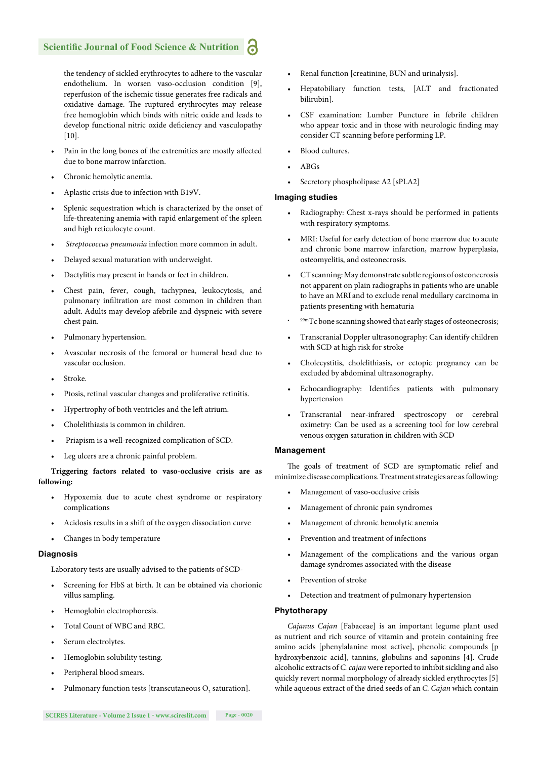the tendency of sickled erythrocytes to adhere to the vascular endothelium. In worsen vaso-occlusion condition [9], reperfusion of the ischemic tissue generates free radicals and oxidative damage. The ruptured erythrocytes may release free hemoglobin which binds with nitric oxide and leads to develop functional nitric oxide deficiency and vasculopathy [10].

- Pain in the long bones of the extremities are mostly affected due to bone marrow infarction.
- Chronic hemolytic anemia.
- Aplastic crisis due to infection with B19V.
- Splenic sequestration which is characterized by the onset of life-threatening anemia with rapid enlargement of the spleen and high reticulocyte count.
- *Streptococcus pneumonia* infection more common in adult.
- Delayed sexual maturation with underweight.
- Dactylitis may present in hands or feet in children.
- Chest pain, fever, cough, tachypnea, leukocytosis, and pulmonary infiltration are most common in children than adult. Adults may develop afebrile and dyspneic with severe chest pain.
- Pulmonary hypertension.
- Avascular necrosis of the femoral or humeral head due to vascular occlusion.
- Stroke.
- Ptosis, retinal vascular changes and proliferative retinitis.
- Hypertrophy of both ventricles and the left atrium.
- Cholelithiasis is common in children.
- Priapism is a well-recognized complication of SCD.
- Leg ulcers are a chronic painful problem.

#### **Triggering factors related to vaso-occlusive crisis are as following:**

- Hypoxemia due to acute chest syndrome or respiratory complications
- Acidosis results in a shift of the oxygen dissociation curve
- Changes in body temperature

#### **Diagnosis**

Laboratory tests are usually advised to the patients of SCD-

- Screening for HbS at birth. It can be obtained via chorionic villus sampling.
- Hemoglobin electrophoresis.
- Total Count of WBC and RBC.
- Serum electrolytes.
- Hemoglobin solubility testing.
- Peripheral blood smears.
- Pulmonary function tests [transcutaneous  $O_2$  saturation].
- Renal function [creatinine, BUN and urinalysis].
- Hepatobiliary function tests, [ALT and fractionated bilirubin].
- CSF examination: Lumber Puncture in febrile children who appear toxic and in those with neurologic finding may consider CT scanning before performing LP.
- Blood cultures.
- $ABC<sub>e</sub>$
- Secretory phospholipase A2 [sPLA2]

#### **Imaging studies**

- Radiography: Chest x-rays should be performed in patients with respiratory symptoms.
- MRI: Useful for early detection of bone marrow due to acute and chronic bone marrow infarction, marrow hyperplasia, osteomyelitis, and osteonecrosis.
- CT scanning: May demonstrate subtle regions of osteonecrosis not apparent on plain radiographs in patients who are unable to have an MRI and to exclude renal medullary carcinoma in patients presenting with hematuria
- 99mTc bone scanning showed that early stages of osteonecrosis;
- Transcranial Doppler ultrasonography: Can identify children with SCD at high risk for stroke
- Cholecystitis, cholelithiasis, or ectopic pregnancy can be excluded by abdominal ultrasonography.
- Echocardiography: Identifies patients with pulmonary hypertension
- Transcranial near-infrared spectroscopy or cerebral oximetry: Can be used as a screening tool for low cerebral venous oxygen saturation in children with SCD

#### **Management**

The goals of treatment of SCD are symptomatic relief and minimize disease complications. Treatment strategies are as following:

- Management of vaso-occlusive crisis
- Management of chronic pain syndromes
- Management of chronic hemolytic anemia
- Prevention and treatment of infections
- Management of the complications and the various organ damage syndromes associated with the disease
- Prevention of stroke
- Detection and treatment of pulmonary hypertension

#### **Phytotherapy**

*Cajanus Cajan* [Fabaceae] is an important legume plant used as nutrient and rich source of vitamin and protein containing free amino acids [phenylalanine most active], phenolic compounds [p hydroxybenzoic acid], tannins, globulins and saponins [4]. Crude alcoholic extracts of *C.cajan* were reported to inhibit sickling and also quickly revert normal morphology of already sickled erythrocytes [5] while aqueous extract of the dried seeds of an *C. Cajan* which contain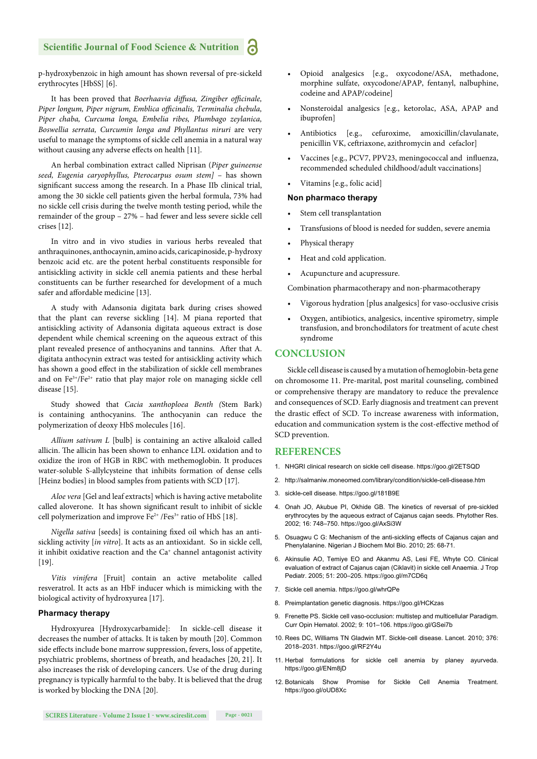#### **Scientific Journal of Food Science & Nutrition**

p-hydroxybenzoic in high amount has shown reversal of pre-sickeld erythrocytes [HbSS] [6].

It has been proved that *Boerhaavia diffusa*, *Zingiber officinale*, Piper longum, Piper nigrum, Emblica officinalis, Terminalia chebula, *Piper chaba, Curcuma longa, Embelia ribes, Plumbago zeylanica, Boswellia serrata, Curcumin longa and Phyllantus niruri* are very useful to manage the symptoms of sickle cell anemia in a natural way without causing any adverse effects on health [11].

An herbal combination extract called Niprisan (*Piper guineense seed, Eugenia caryophyllus, Pterocarpus osum stem]* – has shown significant success among the research. In a Phase IIb clinical trial, among the 30 sickle cell patients given the herbal formula, 73% had no sickle cell crisis during the twelve month testing period, while the remainder of the group – 27% – had fewer and less severe sickle cell crises [12].

In vitro and in vivo studies in various herbs revealed that anthraquinones, anthocaynin, amino acids, caricapinoside, p-hydroxy benzoic acid etc. are the potent herbal constituents responsible for antisickling activity in sickle cell anemia patients and these herbal constituents can be further researched for development of a much safer and affordable medicine [13].

A study with Adansonia digitata bark during crises showed that the plant can reverse sickling [14]. M piana reported that antisickling activity of Adansonia digitata aqueous extract is dose dependent while chemical screening on the aqueous extract of this plant revealed presence of anthocyanins and tannins. After that A. digitata anthocynin extract was tested for antisickling activity which has shown a good effect in the stabilization of sickle cell membranes and on  $Fe^{3+}/Fe^{2+}$  ratio that play major role on managing sickle cell disease [15].

Study showed that *Cacia xanthoploea Benth (*Stem Bark) is containing anthocyanins. The anthocyanin can reduce the polymerization of deoxy HbS molecules [16].

*Allium sativum L* [bulb] is containing an active alkaloid called allicin. The allicin has been shown to enhance LDL oxidation and to oxidize the iron of HGB in RBC with methemoglobin. It produces water-soluble S-allylcysteine that inhibits formation of dense cells [Heinz bodies] in blood samples from patients with SCD [17].

*Aloe vera* [Gel and leaf extracts] which is having active metabolite called aloverone. It has shown significant result to inhibit of sickle cell polymerization and improve  $Fe^{2+}$  /Fes<sup>3+</sup> ratio of HbS [18].

*Nigella sativa* [seeds] is containing fixed oil which has an antisickling activity [*in vitro*]. It acts as an antioxidant. So in sickle cell, it inhibit oxidative reaction and the Ca<sup>+</sup> channel antagonist activity [19].

*Vitis vinifera* [Fruit] contain an active metabolite called resveratrol. It acts as an HbF inducer which is mimicking with the biological activity of hydroxyurea [17].

#### **Pharmacy therapy**

Hydroxyurea [Hydroxycarbamide]: In sickle-cell disease it decreases the number of attacks. It is taken by mouth [20]. Common side effects include bone marrow suppression, fevers, loss of appetite, psychiatric problems, shortness of breath, and headaches [20, 21]. It also increases the risk of developing cancers. Use of the drug during pregnancy is typically harmful to the baby. It is believed that the drug is worked by blocking the DNA [20].

- Opioid analgesics [e.g., oxycodone/ASA, methadone, morphine sulfate, oxycodone/APAP, fentanyl, nalbuphine, codeine and APAP/codeine]
- Nonsteroidal analgesics [e.g., ketorolac, ASA, APAP and ibuprofen]
- Antibiotics [e.g., cefuroxime, amoxicillin/clavulanate, penicillin VK, ceftriaxone, azithromycin and cefaclor]
- Vaccines [e.g., PCV7, PPV23, meningococcal and influenza, recommended scheduled childhood/adult vaccinations]
- Vitamins [e.g., folic acid]

#### **Non pharmaco therapy**

- Stem cell transplantation
- Transfusions of blood is needed for sudden, severe anemia
- Physical therapy
- Heat and cold application.
- Acupuncture and acupressure.

Combination pharmacotherapy and non-pharmacotherapy

- Vigorous hydration [plus analgesics] for vaso-occlusive crisis
- Oxygen, antibiotics, analgesics, incentive spirometry, simple transfusion, and bronchodilators for treatment of acute chest syndrome

#### **CONCLUSION**

Sickle cell disease is caused by a mutation of hemoglobin-beta gene on chromosome 11. Pre-marital, post marital counseling, combined or comprehensive therapy are mandatory to reduce the prevalence and consequences of SCD. Early diagnosis and treatment can prevent the drastic effect of SCD. To increase awareness with information, education and communication system is the cost-effective method of SCD prevention.

#### **REFERENCES**

- 1. NHGRI clinical research on sickle cell disease. https://goo.gl/2ETSQD
- 2. http://salmaniw.moneomed.com/library/condition/sickle-cell-disease.htm
- 3. sickle-cell disease. https://goo.gl/181B9E
- 4. Onah JO, Akubue PI, Okhide GB. The kinetics of reversal of pre-sickled erythrocytes by the aqueous extract of Cajanus cajan seeds. Phytother Res. 2002; 16: 748–750. https://goo.gl/AxSi3W
- 5. Osuagwu C G: Mechanism of the anti-sickling effects of Cajanus cajan and Phenylalanine. Nigerian J Biochem Mol Bio. 2010; 25: 68-71.
- 6. Akinsulie AO, Temiye EO and Akanmu AS, Lesi FE, Whyte CO. Clinical evaluation of extract of Cajanus cajan (Ciklavit) in sickle cell Anaemia. J Trop Pediatr. 2005; 51: 200–205. https://goo.gl/m7CD6q
- 7. Sickle cell anemia. https://goo.gl/whrQPe
- 8. Preimplantation genetic diagnosis. https://goo.gl/HCKzas
- 9. Frenette PS. Sickle cell vaso-occlusion: multistep and multicellular Paradigm. Curr Opin Hematol. 2002; 9: 101–106. https://goo.gl/GSei7b
- 10. Rees DC, Williams TN Gladwin MT. Sickle-cell disease. Lancet. 2010; 376: 2018–2031. https://goo.gl/RF2Y4u
- 11. Herbal formulations for sickle cell anemia by planey ayurveda. https://goo.gl/ENm8jD
- 12. Botanicals Show Promise for Sickle Cell Anemia Treatment. https://goo.gl/oUD8Xc